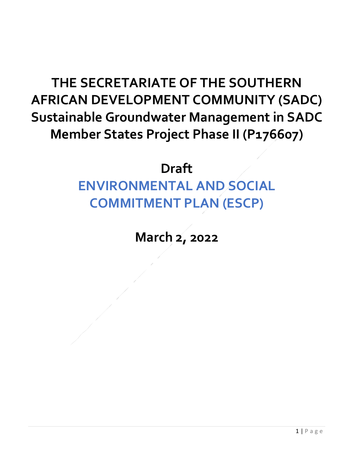## **THE SECRETARIATE OF THE SOUTHERN AFRICAN DEVELOPMENT COMMUNITY (SADC) Sustainable Groundwater Management in SADC Member States Project Phase II (P176607)**

## **Draft**

**ENVIRONMENTAL AND SOCIAL COMMITMENT PLAN (ESCP)** 

**March 2, 2022**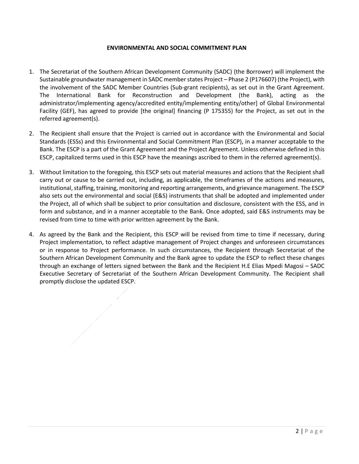## **ENVIRONMENTAL AND SOCIAL COMMITMENT PLAN**

- 1. The Secretariat of the Southern African Development Community (SADC) (the Borrower) will implement the Sustainable groundwater management in SADC member states Project – Phase 2 (P176607) (the Project), with the involvement of the SADC Member Countries (Sub-grant recipients), as set out in the Grant Agreement. The International Bank for Reconstruction and Development (the Bank), acting as the administrator/implementing agency/accredited entity/implementing entity/other] of Global Environmental Facility (GEF), has agreed to provide [the original] financing (P 175355) for the Project, as set out in the referred agreement(s).
- 2. The Recipient shall ensure that the Project is carried out in accordance with the Environmental and Social Standards (ESSs) and this Environmental and Social Commitment Plan (ESCP), in a manner acceptable to the Bank. The ESCP is a part of the Grant Agreement and the Project Agreement. Unless otherwise defined in this ESCP, capitalized terms used in this ESCP have the meanings ascribed to them in the referred agreement(s).
- 3. Without limitation to the foregoing, this ESCP sets out material measures and actions that the Recipient shall carry out or cause to be carried out, including, as applicable, the timeframes of the actions and measures, institutional, staffing, training, monitoring and reporting arrangements, and grievance management. The ESCP also sets out the environmental and social (E&S) instruments that shall be adopted and implemented under the Project, all of which shall be subject to prior consultation and disclosure, consistent with the ESS, and in form and substance, and in a manner acceptable to the Bank. Once adopted, said E&S instruments may be revised from time to time with prior written agreement by the Bank.
- 4. As agreed by the Bank and the Recipient, this ESCP will be revised from time to time if necessary, during Project implementation, to reflect adaptive management of Project changes and unforeseen circumstances or in response to Project performance. In such circumstances, the Recipient through Secretariat of the Southern African Development Community and the Bank agree to update the ESCP to reflect these changes through an exchange of letters signed between the Bank and the Recipient H.E Elias Mpedi Magosi – SADC Executive Secretary of Secretariat of the Southern African Development Community. The Recipient shall promptly disclose the updated ESCP.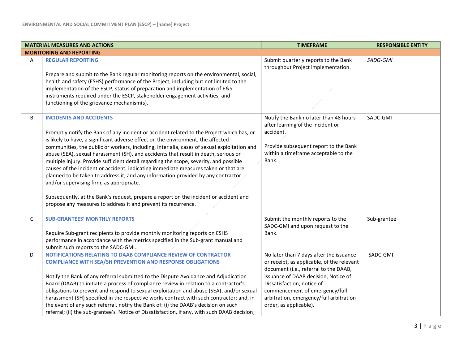|   | <b>MATERIAL MEASURES AND ACTIONS</b>                                                                                                                                                                                                                                                                                                                                                                                                                                                                                                                                                                                                                                                                                                                                                                                                                                               | <b>TIMEFRAME</b>                                                                                                                                                                                                                                                                                            | <b>RESPONSIBLE ENTITY</b> |
|---|------------------------------------------------------------------------------------------------------------------------------------------------------------------------------------------------------------------------------------------------------------------------------------------------------------------------------------------------------------------------------------------------------------------------------------------------------------------------------------------------------------------------------------------------------------------------------------------------------------------------------------------------------------------------------------------------------------------------------------------------------------------------------------------------------------------------------------------------------------------------------------|-------------------------------------------------------------------------------------------------------------------------------------------------------------------------------------------------------------------------------------------------------------------------------------------------------------|---------------------------|
|   | <b>MONITORING AND REPORTING</b>                                                                                                                                                                                                                                                                                                                                                                                                                                                                                                                                                                                                                                                                                                                                                                                                                                                    |                                                                                                                                                                                                                                                                                                             |                           |
| A | <b>REGULAR REPORTING</b><br>Prepare and submit to the Bank regular monitoring reports on the environmental, social,<br>health and safety (ESHS) performance of the Project, including but not limited to the<br>implementation of the ESCP, status of preparation and implementation of E&S<br>instruments required under the ESCP, stakeholder engagement activities, and<br>functioning of the grievance mechanism(s).                                                                                                                                                                                                                                                                                                                                                                                                                                                           | Submit quarterly reports to the Bank<br>throughout Project implementation.                                                                                                                                                                                                                                  | SADG-GMI                  |
| B | <b>INCIDENTS AND ACCIDENTS</b><br>Promptly notify the Bank of any incident or accident related to the Project which has, or<br>is likely to have, a significant adverse effect on the environment, the affected<br>communities, the public or workers, including, inter alia, cases of sexual exploitation and<br>abuse (SEA), sexual harassment (SH), and accidents that result in death, serious or<br>multiple injury. Provide sufficient detail regarding the scope, severity, and possible<br>causes of the incident or accident, indicating immediate measures taken or that are<br>planned to be taken to address it, and any information provided by any contractor<br>and/or supervising firm, as appropriate.<br>Subsequently, at the Bank's request, prepare a report on the incident or accident and<br>propose any measures to address it and prevent its recurrence. | Notify the Bank no later than 48 hours<br>after learning of the incident or<br>accident.<br>Provide subsequent report to the Bank<br>within a timeframe acceptable to the<br>Bank.                                                                                                                          | SADC-GMI                  |
| C | <b>SUB-GRANTEES' MONTHLY REPORTS</b><br>Require Sub-grant recipients to provide monthly monitoring reports on ESHS<br>performance in accordance with the metrics specified in the Sub-grant manual and<br>submit such reports to the SADC-GMI.                                                                                                                                                                                                                                                                                                                                                                                                                                                                                                                                                                                                                                     | Submit the monthly reports to the<br>SADC-GMI and upon request to the<br>Bank.                                                                                                                                                                                                                              | Sub-grantee               |
| D | NOTIFICATIONS RELATING TO DAAB COMPLIANCE REVIEW OF CONTRACTOR<br><b>COMPLIANCE WITH SEA/SH PREVENTION AND RESPONSE OBLIGATIONS</b><br>Notify the Bank of any referral submitted to the Dispute Avoidance and Adjudication<br>Board (DAAB) to initiate a process of compliance review in relation to a contractor's<br>obligations to prevent and respond to sexual exploitation and abuse (SEA), and/or sexual<br>harassment (SH) specified in the respective works contract with such contractor; and, in<br>the event of any such referral, notify the Bank of: (i) the DAAB's decision on such<br>referral; (ii) the sub-grantee's Notice of Dissatisfaction, if any, with such DAAB decision;                                                                                                                                                                                 | No later than 7 days after the issuance<br>or receipt, as applicable, of the relevant<br>document (i.e., referral to the DAAB,<br>issuance of DAAB decision, Notice of<br>Dissatisfaction, notice of<br>commencement of emergency/full<br>arbitration, emergency/full arbitration<br>order, as applicable). | SADC-GMI                  |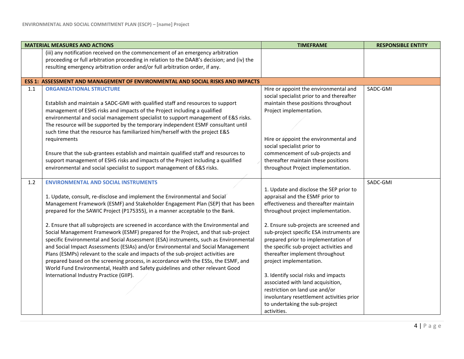|     | <b>MATERIAL MEASURES AND ACTIONS</b>                                                       | <b>TIMEFRAME</b>                          | <b>RESPONSIBLE ENTITY</b> |
|-----|--------------------------------------------------------------------------------------------|-------------------------------------------|---------------------------|
|     | (iii) any notification received on the commencement of an emergency arbitration            |                                           |                           |
|     | proceeding or full arbitration proceeding in relation to the DAAB's decision; and (iv) the |                                           |                           |
|     | resulting emergency arbitration order and/or full arbitration order, if any.               |                                           |                           |
|     | ESS 1: ASSESSMENT AND MANAGEMENT OF ENVIRONMENTAL AND SOCIAL RISKS AND IMPACTS             |                                           |                           |
| 1.1 | <b>ORGANIZATIONAL STRUCTURE</b>                                                            | Hire or appoint the environmental and     | SADC-GMI                  |
|     |                                                                                            | social specialist prior to and thereafter |                           |
|     | Establish and maintain a SADC-GMI with qualified staff and resources to support            | maintain these positions throughout       |                           |
|     | management of ESHS risks and impacts of the Project including a qualified                  | Project implementation.                   |                           |
|     | environmental and social management specialist to support management of E&S risks.         |                                           |                           |
|     | The resource will be supported by the temporary independent ESMF consultant until          |                                           |                           |
|     | such time that the resource has familiarized him/herself with the project E&S              |                                           |                           |
|     | requirements                                                                               | Hire or appoint the environmental and     |                           |
|     |                                                                                            | social specialist prior to                |                           |
|     | Ensure that the sub-grantees establish and maintain qualified staff and resources to       | commencement of sub-projects and          |                           |
|     | support management of ESHS risks and impacts of the Project including a qualified          | thereafter maintain these positions       |                           |
|     | environmental and social specialist to support management of E&S risks.                    | throughout Project implementation.        |                           |
| 1.2 | <b>ENVIRONMENTAL AND SOCIAL INSTRUMENTS</b>                                                |                                           | SADC-GMI                  |
|     |                                                                                            | 1. Update and disclose the SEP prior to   |                           |
|     | 1. Update, consult, re-disclose and implement the Environmental and Social                 | appraisal and the ESMF prior to           |                           |
|     | Management Framework (ESMF) and Stakeholder Engagement Plan (SEP) that has been            | effectiveness and thereafter maintain     |                           |
|     | prepared for the SAWIC Project (P175355), in a manner acceptable to the Bank.              | throughout project implementation.        |                           |
|     | 2. Ensure that all subprojects are screened in accordance with the Environmental and       | 2. Ensure sub-projects are screened and   |                           |
|     | Social Management Framework (ESMF) prepared for the Project, and that sub-project          | sub-project specific ESA instruments are  |                           |
|     | specific Environmental and Social Assessment (ESA) instruments, such as Environmental      | prepared prior to implementation of       |                           |
|     | and Social Impact Assessments (ESIAs) and/or Environmental and Social Management           | the specific sub-project activities and   |                           |
|     | Plans (ESMPs) relevant to the scale and impacts of the sub-project activities are          | thereafter implement throughout           |                           |
|     | prepared based on the screening process, in accordance with the ESSs, the ESMF, and        | project implementation.                   |                           |
|     | World Fund Environmental, Health and Safety guidelines and other relevant Good             |                                           |                           |
|     | International Industry Practice (GIIP).                                                    | 3. Identify social risks and impacts      |                           |
|     |                                                                                            | associated with land acquisition,         |                           |
|     |                                                                                            | restriction on land use and/or            |                           |
|     |                                                                                            | involuntary resettlement activities prior |                           |
|     |                                                                                            | to undertaking the sub-project            |                           |
|     |                                                                                            | activities.                               |                           |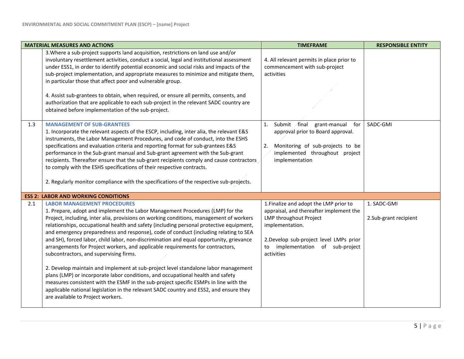|     | <b>MATERIAL MEASURES AND ACTIONS</b>                                                                                                                                                                                                                                                                                                                                                                                                                                                                                                                                                                                                                                                                                                                                                                                                                                                                                                                                                                                     | <b>TIMEFRAME</b>                                                                                                                                                                                                              | <b>RESPONSIBLE ENTITY</b>            |
|-----|--------------------------------------------------------------------------------------------------------------------------------------------------------------------------------------------------------------------------------------------------------------------------------------------------------------------------------------------------------------------------------------------------------------------------------------------------------------------------------------------------------------------------------------------------------------------------------------------------------------------------------------------------------------------------------------------------------------------------------------------------------------------------------------------------------------------------------------------------------------------------------------------------------------------------------------------------------------------------------------------------------------------------|-------------------------------------------------------------------------------------------------------------------------------------------------------------------------------------------------------------------------------|--------------------------------------|
|     | 3. Where a sub-project supports land acquisition, restrictions on land use and/or<br>involuntary resettlement activities, conduct a social, legal and institutional assessment<br>under ESS1, in order to identify potential economic and social risks and impacts of the<br>sub-project implementation, and appropriate measures to minimize and mitigate them,<br>in particular those that affect poor and vulnerable group.                                                                                                                                                                                                                                                                                                                                                                                                                                                                                                                                                                                           | 4. All relevant permits in place prior to<br>commencement with sub-project<br>activities                                                                                                                                      |                                      |
|     | 4. Assist sub-grantees to obtain, when required, or ensure all permits, consents, and<br>authorization that are applicable to each sub-project in the relevant SADC country are<br>obtained before implementation of the sub-project.                                                                                                                                                                                                                                                                                                                                                                                                                                                                                                                                                                                                                                                                                                                                                                                    |                                                                                                                                                                                                                               |                                      |
| 1.3 | <b>MANAGEMENT OF SUB-GRANTEES</b><br>1. Incorporate the relevant aspects of the ESCP, including, inter alia, the relevant E&S<br>instruments, the Labor Management Procedures, and code of conduct, into the ESHS<br>specifications and evaluation criteria and reporting format for sub-grantees E&S<br>performance in the Sub-grant manual and Sub-grant agreement with the Sub-grant<br>recipients. Thereafter ensure that the sub-grant recipients comply and cause contractors<br>to comply with the ESHS specifications of their respective contracts.<br>2. Regularly monitor compliance with the specifications of the respective sub-projects.                                                                                                                                                                                                                                                                                                                                                                  | Submit final<br>grant-manual<br>for<br>1.<br>approval prior to Board approval.<br>Monitoring of sub-projects to be<br>2.<br>implemented throughout project<br>implementation                                                  | SADC-GMI                             |
|     | <b>ESS 2: LABOR AND WORKING CONDITIONS</b>                                                                                                                                                                                                                                                                                                                                                                                                                                                                                                                                                                                                                                                                                                                                                                                                                                                                                                                                                                               |                                                                                                                                                                                                                               |                                      |
| 2.1 | <b>LABOR MANAGEMENT PROCEDURES</b><br>1. Prepare, adopt and implement the Labor Management Procedures (LMP) for the<br>Project, including, inter alia, provisions on working conditions, management of workers<br>relationships, occupational health and safety (including personal protective equipment,<br>and emergency preparedness and response), code of conduct (including relating to SEA<br>and SH), forced labor, child labor, non-discrimination and equal opportunity, grievance<br>arrangements for Project workers, and applicable requirements for contractors,<br>subcontractors, and supervising firms.<br>2. Develop maintain and implement at sub-project level standalone labor management<br>plans (LMP) or incorporate labor conditions, and occupational health and safety<br>measures consistent with the ESMF in the sub-project specific ESMPs in line with the<br>applicable national legislation in the relevant SADC country and ESS2, and ensure they<br>are available to Project workers. | 1. Finalize and adopt the LMP prior to<br>appraisal, and thereafter implement the<br>LMP throughout Project<br>implementation.<br>2.Develop sub-project level LMPs prior<br>implementation of sub-project<br>to<br>activities | 1. SADC-GMI<br>2.Sub-grant recipient |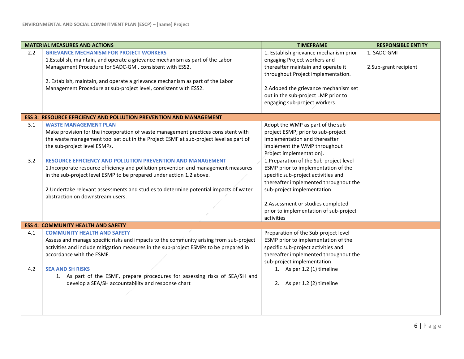|     | <b>MATERIAL MEASURES AND ACTIONS</b>                                                                                                                                                                                                                                                                                                                           | <b>TIMEFRAME</b>                                                                                                                                                                                                                                                                           | <b>RESPONSIBLE ENTITY</b>            |
|-----|----------------------------------------------------------------------------------------------------------------------------------------------------------------------------------------------------------------------------------------------------------------------------------------------------------------------------------------------------------------|--------------------------------------------------------------------------------------------------------------------------------------------------------------------------------------------------------------------------------------------------------------------------------------------|--------------------------------------|
| 2.2 | <b>GRIEVANCE MECHANISM FOR PROJECT WORKERS</b><br>1. Establish, maintain, and operate a grievance mechanism as part of the Labor<br>Management Procedure for SADC-GMI, consistent with ESS2.<br>2. Establish, maintain, and operate a grievance mechanism as part of the Labor<br>Management Procedure at sub-project level, consistent with ESS2.             | 1. Establish grievance mechanism prior<br>engaging Project workers and<br>thereafter maintain and operate it<br>throughout Project implementation.<br>2. Adoped the grievance mechanism set<br>out in the sub-project LMP prior to<br>engaging sub-project workers.                        | 1. SADC-GMI<br>2.Sub-grant recipient |
|     | <b>ESS 3: RESOURCE EFFICIENCY AND POLLUTION PREVENTION AND MANAGEMENT</b>                                                                                                                                                                                                                                                                                      |                                                                                                                                                                                                                                                                                            |                                      |
| 3.1 | <b>WASTE MANAGEMENT PLAN</b><br>Make provision for the incorporation of waste management practices consistent with<br>the waste management tool set out in the Project ESMF at sub-project level as part of<br>the sub-project level ESMPs.                                                                                                                    | Adopt the WMP as part of the sub-<br>project ESMP; prior to sub-project<br>implementation and thereafter<br>implement the WMP throughout<br>Project implementation].                                                                                                                       |                                      |
| 3.2 | <b>RESOURCE EFFICIENCY AND POLLUTION PREVENTION AND MANAGEMENT</b><br>1. Incorporate resource efficiency and pollution prevention and management measures<br>in the sub-project level ESMP to be prepared under action 1.2 above.<br>2. Undertake relevant assessments and studies to determine potential impacts of water<br>abstraction on downstream users. | 1. Preparation of the Sub-project level<br>ESMP prior to implementation of the<br>specific sub-project activities and<br>thereafter implemented throughout the<br>sub-project implementation.<br>2.Assessment or studies completed<br>prior to implementation of sub-project<br>activities |                                      |
|     | <b>ESS 4: COMMUNITY HEALTH AND SAFETY</b>                                                                                                                                                                                                                                                                                                                      |                                                                                                                                                                                                                                                                                            |                                      |
| 4.1 | <b>COMMUNITY HEALTH AND SAFETY</b><br>Assess and manage specific risks and impacts to the community arising from sub-project<br>activities and include mitigation measures in the sub-project ESMPs to be prepared in<br>accordance with the ESMF.                                                                                                             | Preparation of the Sub-project level<br>ESMP prior to implementation of the<br>specific sub-project activities and<br>thereafter implemented throughout the<br>sub-project implementation                                                                                                  |                                      |
| 4.2 | <b>SEA AND SH RISKS</b><br>1. As part of the ESMF, prepare procedures for assessing risks of SEA/SH and<br>develop a SEA/SH accountability and response chart                                                                                                                                                                                                  | 1. As per 1.2 (1) timeline<br>2. As per 1.2 (2) timeline                                                                                                                                                                                                                                   |                                      |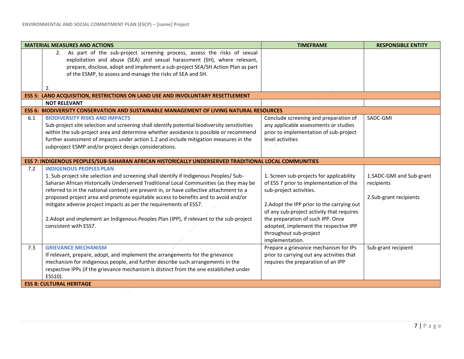|     | <b>MATERIAL MEASURES AND ACTIONS</b>                                                                 | <b>TIMEFRAME</b>                           | <b>RESPONSIBLE ENTITY</b> |
|-----|------------------------------------------------------------------------------------------------------|--------------------------------------------|---------------------------|
|     | 2. As part of the sub-project screening process, assess the risks of sexual                          |                                            |                           |
|     | exploitation and abuse (SEA) and sexual harassment (SH), where relevant,                             |                                            |                           |
|     | prepare, disclose, adopt and implement a sub-project SEA/SH Action Plan as part                      |                                            |                           |
|     | of the ESMP, to assess and manage the risks of SEA and SH.                                           |                                            |                           |
|     |                                                                                                      |                                            |                           |
|     | $\mathcal{P}_1$                                                                                      |                                            |                           |
|     | ESS 5: LAND ACQUISITION, RESTRICTIONS ON LAND USE AND INVOLUNTARY RESETTLEMENT                       |                                            |                           |
|     | <b>NOT RELEVANT</b>                                                                                  |                                            |                           |
|     | <b>ESS 6: BIODIVERSITY CONSERVATION AND SUSTAINABLE MANAGEMENT OF LIVING NATURAL RESOURCES</b>       |                                            |                           |
| 6.1 | <b>BIODIVERSITY RISKS AND IMPACTS</b>                                                                | Conclude screening and preparation of      | SADC-GMI                  |
|     | Sub-project site selection and screening shall identify potential biodiversity sensitivities         | any applicable assessments or studies      |                           |
|     | within the sub-project area and determine whether avoidance is possible or recommend                 | prior to implementation of sub-project     |                           |
|     | further assessment of impacts under action 1.2 and include mitigation measures in the                | level activities                           |                           |
|     | subproject ESMP and/or project design considerations.                                                |                                            |                           |
|     |                                                                                                      |                                            |                           |
|     | ESS 7: INDIGENOUS PEOPLES/SUB-SAHARAN AFRICAN HISTORICALLY UNDERSERVED TRADITIONAL LOCAL COMMUNITIES |                                            |                           |
| 7.2 | <b>INDIGENOUS PEOPLES PLAN</b>                                                                       |                                            |                           |
|     | 1. Sub-project site selection and screening shall identify if Indigenous Peoples/ Sub-               | 1. Screen sub-projects for applicability   | 1.SADC-GMI and Sub-grant  |
|     | Saharan African Historically Underserved Traditional Local Communities (as they may be               | of ESS 7 prior to implementation of the    | recipients                |
|     | referred to in the national context) are present in, or have collective attachment to a              | sub-project activities.                    |                           |
|     | proposed project area and promote equitable access to benefits and to avoid and/or                   |                                            | 2.Sub-grant recipients    |
|     | mitigate adverse project impacts as per the requirements of ESS7.                                    | 2. Adopt the IPP prior to the carrying out |                           |
|     |                                                                                                      | of any sub-project activity that requires  |                           |
|     | 2. Adopt and implement an Indigenous Peoples Plan (IPP), if relevant to the sub-project              | the preparation of such IPP. Once          |                           |
|     | consistent with ESS7.                                                                                | adopted, implement the respective IPP      |                           |
|     |                                                                                                      | throughout sub-project                     |                           |
|     |                                                                                                      | implementation.                            |                           |
| 7.3 | <b>GRIEVANCE MECHANISM</b>                                                                           | Prepare a grievance mechanism for IPs      | Sub-grant recipient       |
|     | If relevant, prepare, adopt, and implement the arrangements for the grievance                        | prior to carrying out any activities that  |                           |
|     | mechanism for indigenous people, and further describe such arrangements in the                       | requires the preparation of an IPP         |                           |
|     | respective IPPs (if the grievance mechanism is distinct from the one established under               |                                            |                           |
|     | ESS10).                                                                                              |                                            |                           |
|     | <b>ESS 8: CULTURAL HERITAGE</b>                                                                      |                                            |                           |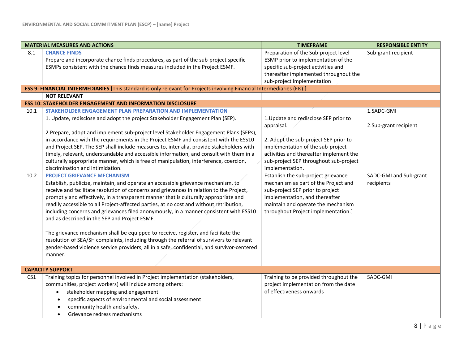|                 | <b>MATERIAL MEASURES AND ACTIONS</b>                                                                                                                                                                                                                                                                                                                                                                                                                                                                                                                                                                                                                                                                                                                                                                                                          | <b>TIMEFRAME</b>                                                                                                                                                                                                               | <b>RESPONSIBLE ENTITY</b>            |
|-----------------|-----------------------------------------------------------------------------------------------------------------------------------------------------------------------------------------------------------------------------------------------------------------------------------------------------------------------------------------------------------------------------------------------------------------------------------------------------------------------------------------------------------------------------------------------------------------------------------------------------------------------------------------------------------------------------------------------------------------------------------------------------------------------------------------------------------------------------------------------|--------------------------------------------------------------------------------------------------------------------------------------------------------------------------------------------------------------------------------|--------------------------------------|
| 8.1             | <b>CHANCE FINDS</b><br>Prepare and incorporate chance finds procedures, as part of the sub-project specific<br>ESMPs consistent with the chance finds measures included in the Project ESMF.                                                                                                                                                                                                                                                                                                                                                                                                                                                                                                                                                                                                                                                  | Preparation of the Sub-project level<br>ESMP prior to implementation of the<br>specific sub-project activities and<br>thereafter implemented throughout the<br>sub-project implementation                                      | Sub-grant recipient                  |
|                 | ESS 9: FINANCIAL INTERMEDIARIES [This standard is only relevant for Projects involving Financial Intermediaries (FIs).]                                                                                                                                                                                                                                                                                                                                                                                                                                                                                                                                                                                                                                                                                                                       |                                                                                                                                                                                                                                |                                      |
|                 | <b>NOT RELEVANT</b>                                                                                                                                                                                                                                                                                                                                                                                                                                                                                                                                                                                                                                                                                                                                                                                                                           |                                                                                                                                                                                                                                |                                      |
|                 | <b>ESS 10: STAKEHOLDER ENGAGEMENT AND INFORMATION DISCLOSURE</b>                                                                                                                                                                                                                                                                                                                                                                                                                                                                                                                                                                                                                                                                                                                                                                              |                                                                                                                                                                                                                                |                                      |
| 10.1            | STAKEHOLDER ENGAGEMENT PLAN PREPARATION AND IMPLEMENTATION<br>1. Update, redisclose and adopt the project Stakeholder Engagement Plan (SEP).<br>2. Prepare, adopt and implement sub-project level Stakeholder Engagement Plans (SEPs),<br>in accordance with the requirements in the Project ESMF and consistent with the ESS10                                                                                                                                                                                                                                                                                                                                                                                                                                                                                                               | 1. Update and redisclose SEP prior to<br>appraisal.<br>2. Adopt the sub-project SEP prior to                                                                                                                                   | 1.SADC-GMI<br>2.Sub-grant recipient  |
|                 | and Project SEP. The SEP shall include measures to, inter alia, provide stakeholders with<br>timely, relevant, understandable and accessible information, and consult with them in a<br>culturally appropriate manner, which is free of manipulation, interference, coercion,<br>discrimination and intimidation.                                                                                                                                                                                                                                                                                                                                                                                                                                                                                                                             | implementation of the sub-project<br>activities and thereafter implement the<br>sub-project SEP throughout sub-project<br>implementation.                                                                                      |                                      |
| 10.2            | <b>PROJECT GRIEVANCE MECHANISM</b><br>Establish, publicize, maintain, and operate an accessible grievance mechanism, to<br>receive and facilitate resolution of concerns and grievances in relation to the Project,<br>promptly and effectively, in a transparent manner that is culturally appropriate and<br>readily accessible to all Project-affected parties, at no cost and without retribution,<br>including concerns and grievances filed anonymously, in a manner consistent with ESS10<br>and as described in the SEP and Project ESMF.<br>The grievance mechanism shall be equipped to receive, register, and facilitate the<br>resolution of SEA/SH complaints, including through the referral of survivors to relevant<br>gender-based violence service providers, all in a safe, confidential, and survivor-centered<br>manner. | Establish the sub-project grievance<br>mechanism as part of the Project and<br>sub-project SEP prior to project<br>implementation, and thereafter<br>maintain and operate the mechanism<br>throughout Project implementation.] | SADC-GMI and Sub-grant<br>recipients |
|                 | <b>CAPACITY SUPPORT</b>                                                                                                                                                                                                                                                                                                                                                                                                                                                                                                                                                                                                                                                                                                                                                                                                                       |                                                                                                                                                                                                                                |                                      |
| CS <sub>1</sub> | Training topics for personnel involved in Project implementation (stakeholders,<br>communities, project workers) will include among others:<br>stakeholder mapping and engagement<br>$\bullet$<br>specific aspects of environmental and social assessment<br>$\bullet$<br>community health and safety.<br>Grievance redress mechanisms                                                                                                                                                                                                                                                                                                                                                                                                                                                                                                        | Training to be provided throughout the<br>project implementation from the date<br>of effectiveness onwards                                                                                                                     | SADC-GMI                             |